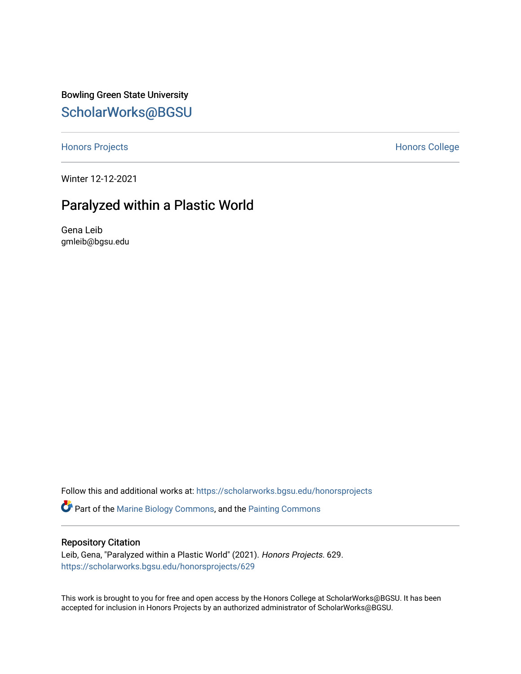Bowling Green State University [ScholarWorks@BGSU](https://scholarworks.bgsu.edu/) 

[Honors Projects](https://scholarworks.bgsu.edu/honorsprojects) **Honors** College

Winter 12-12-2021

### Paralyzed within a Plastic World

Gena Leib gmleib@bgsu.edu

Follow this and additional works at: [https://scholarworks.bgsu.edu/honorsprojects](https://scholarworks.bgsu.edu/honorsprojects?utm_source=scholarworks.bgsu.edu%2Fhonorsprojects%2F629&utm_medium=PDF&utm_campaign=PDFCoverPages)  **P** Part of the [Marine Biology Commons,](http://network.bepress.com/hgg/discipline/1126?utm_source=scholarworks.bgsu.edu%2Fhonorsprojects%2F629&utm_medium=PDF&utm_campaign=PDFCoverPages) and the Painting Commons

#### Repository Citation

Leib, Gena, "Paralyzed within a Plastic World" (2021). Honors Projects. 629. [https://scholarworks.bgsu.edu/honorsprojects/629](https://scholarworks.bgsu.edu/honorsprojects/629?utm_source=scholarworks.bgsu.edu%2Fhonorsprojects%2F629&utm_medium=PDF&utm_campaign=PDFCoverPages) 

This work is brought to you for free and open access by the Honors College at ScholarWorks@BGSU. It has been accepted for inclusion in Honors Projects by an authorized administrator of ScholarWorks@BGSU.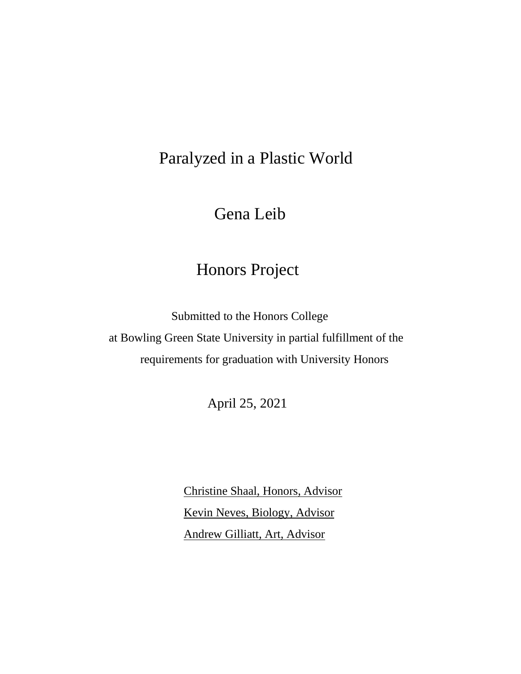# Paralyzed in a Plastic World

Gena Leib

### Honors Project

 Submitted to the Honors College at Bowling Green State University in partial fulfillment of the requirements for graduation with University Honors

April 25, 2021

Christine Shaal, Honors, Advisor Kevin Neves, Biology, Advisor Andrew Gilliatt, Art, Advisor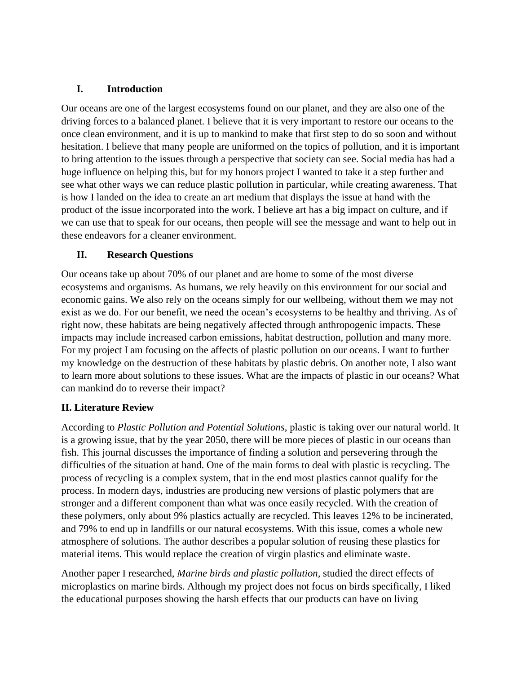#### **I. Introduction**

Our oceans are one of the largest ecosystems found on our planet, and they are also one of the driving forces to a balanced planet. I believe that it is very important to restore our oceans to the once clean environment, and it is up to mankind to make that first step to do so soon and without hesitation. I believe that many people are uniformed on the topics of pollution, and it is important to bring attention to the issues through a perspective that society can see. Social media has had a huge influence on helping this, but for my honors project I wanted to take it a step further and see what other ways we can reduce plastic pollution in particular, while creating awareness. That is how I landed on the idea to create an art medium that displays the issue at hand with the product of the issue incorporated into the work. I believe art has a big impact on culture, and if we can use that to speak for our oceans, then people will see the message and want to help out in these endeavors for a cleaner environment.

#### **II. Research Questions**

Our oceans take up about 70% of our planet and are home to some of the most diverse ecosystems and organisms. As humans, we rely heavily on this environment for our social and economic gains. We also rely on the oceans simply for our wellbeing, without them we may not exist as we do. For our benefit, we need the ocean's ecosystems to be healthy and thriving. As of right now, these habitats are being negatively affected through anthropogenic impacts. These impacts may include increased carbon emissions, habitat destruction, pollution and many more. For my project I am focusing on the affects of plastic pollution on our oceans. I want to further my knowledge on the destruction of these habitats by plastic debris. On another note, I also want to learn more about solutions to these issues. What are the impacts of plastic in our oceans? What can mankind do to reverse their impact?

#### **II. Literature Review**

According to *Plastic Pollution and Potential Solutions*, plastic is taking over our natural world. It is a growing issue, that by the year 2050, there will be more pieces of plastic in our oceans than fish. This journal discusses the importance of finding a solution and persevering through the difficulties of the situation at hand. One of the main forms to deal with plastic is recycling. The process of recycling is a complex system, that in the end most plastics cannot qualify for the process. In modern days, industries are producing new versions of plastic polymers that are stronger and a different component than what was once easily recycled. With the creation of these polymers, only about 9% plastics actually are recycled. This leaves 12% to be incinerated, and 79% to end up in landfills or our natural ecosystems. With this issue, comes a whole new atmosphere of solutions. The author describes a popular solution of reusing these plastics for material items. This would replace the creation of virgin plastics and eliminate waste.

Another paper I researched, *Marine birds and plastic pollution,* studied the direct effects of microplastics on marine birds. Although my project does not focus on birds specifically, I liked the educational purposes showing the harsh effects that our products can have on living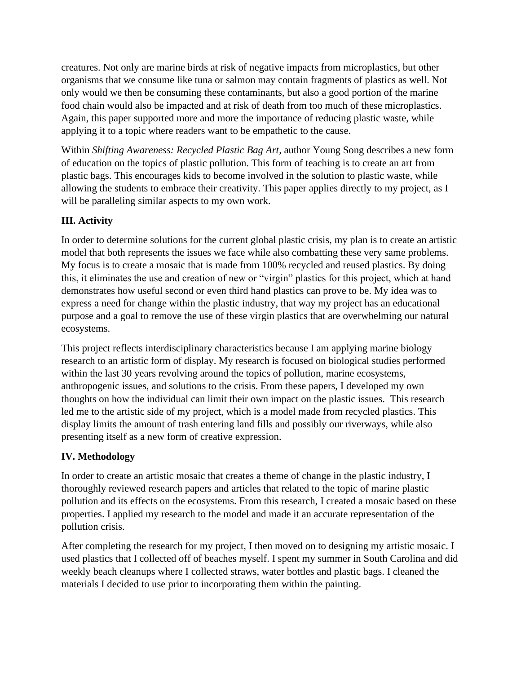creatures. Not only are marine birds at risk of negative impacts from microplastics, but other organisms that we consume like tuna or salmon may contain fragments of plastics as well. Not only would we then be consuming these contaminants, but also a good portion of the marine food chain would also be impacted and at risk of death from too much of these microplastics. Again, this paper supported more and more the importance of reducing plastic waste, while applying it to a topic where readers want to be empathetic to the cause.

Within *Shifting Awareness: Recycled Plastic Bag Art,* author Young Song describes a new form of education on the topics of plastic pollution. This form of teaching is to create an art from plastic bags. This encourages kids to become involved in the solution to plastic waste, while allowing the students to embrace their creativity. This paper applies directly to my project, as I will be paralleling similar aspects to my own work.

### **III. Activity**

In order to determine solutions for the current global plastic crisis, my plan is to create an artistic model that both represents the issues we face while also combatting these very same problems. My focus is to create a mosaic that is made from 100% recycled and reused plastics. By doing this, it eliminates the use and creation of new or "virgin" plastics for this project, which at hand demonstrates how useful second or even third hand plastics can prove to be. My idea was to express a need for change within the plastic industry, that way my project has an educational purpose and a goal to remove the use of these virgin plastics that are overwhelming our natural ecosystems.

This project reflects interdisciplinary characteristics because I am applying marine biology research to an artistic form of display. My research is focused on biological studies performed within the last 30 years revolving around the topics of pollution, marine ecosystems, anthropogenic issues, and solutions to the crisis. From these papers, I developed my own thoughts on how the individual can limit their own impact on the plastic issues. This research led me to the artistic side of my project, which is a model made from recycled plastics. This display limits the amount of trash entering land fills and possibly our riverways, while also presenting itself as a new form of creative expression.

### **IV. Methodology**

In order to create an artistic mosaic that creates a theme of change in the plastic industry, I thoroughly reviewed research papers and articles that related to the topic of marine plastic pollution and its effects on the ecosystems. From this research, I created a mosaic based on these properties. I applied my research to the model and made it an accurate representation of the pollution crisis.

After completing the research for my project, I then moved on to designing my artistic mosaic. I used plastics that I collected off of beaches myself. I spent my summer in South Carolina and did weekly beach cleanups where I collected straws, water bottles and plastic bags. I cleaned the materials I decided to use prior to incorporating them within the painting.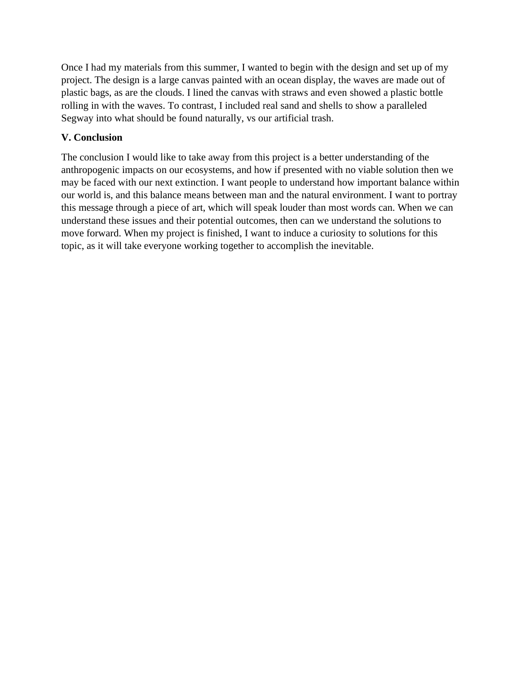Once I had my materials from this summer, I wanted to begin with the design and set up of my project. The design is a large canvas painted with an ocean display, the waves are made out of plastic bags, as are the clouds. I lined the canvas with straws and even showed a plastic bottle rolling in with the waves. To contrast, I included real sand and shells to show a paralleled Segway into what should be found naturally, vs our artificial trash.

#### **V. Conclusion**

The conclusion I would like to take away from this project is a better understanding of the anthropogenic impacts on our ecosystems, and how if presented with no viable solution then we may be faced with our next extinction. I want people to understand how important balance within our world is, and this balance means between man and the natural environment. I want to portray this message through a piece of art, which will speak louder than most words can. When we can understand these issues and their potential outcomes, then can we understand the solutions to move forward. When my project is finished, I want to induce a curiosity to solutions for this topic, as it will take everyone working together to accomplish the inevitable.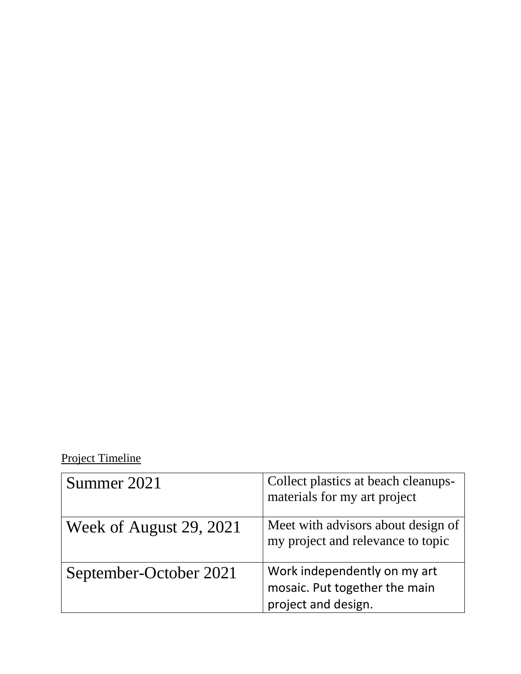# Project Timeline

| Summer 2021             | Collect plastics at beach cleanups-<br>materials for my art project                  |
|-------------------------|--------------------------------------------------------------------------------------|
| Week of August 29, 2021 | Meet with advisors about design of<br>my project and relevance to topic              |
| September-October 2021  | Work independently on my art<br>mosaic. Put together the main<br>project and design. |